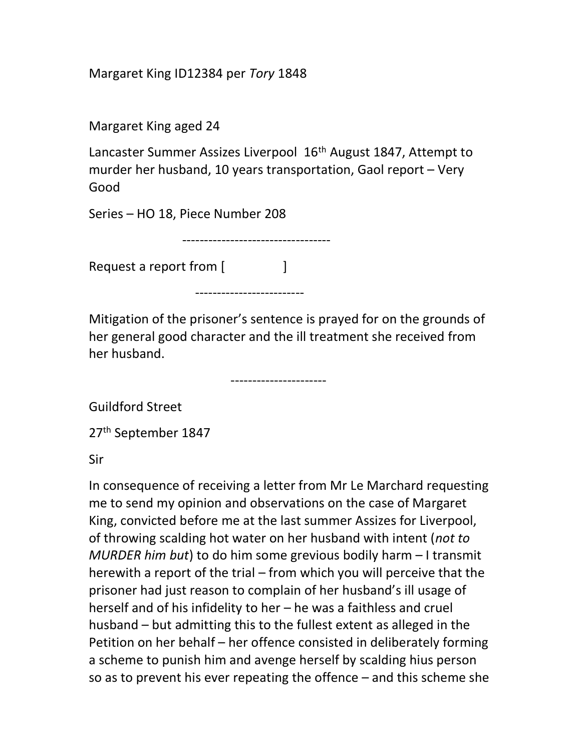Margaret King ID12384 per Tory 1848

Margaret King aged 24

Lancaster Summer Assizes Liverpool 16<sup>th</sup> August 1847, Attempt to murder her husband, 10 years transportation, Gaol report – Very Good

Series – HO 18, Piece Number 208

Request a report from [

-------------------------

----------------------

----------------------------------

Mitigation of the prisoner's sentence is prayed for on the grounds of her general good character and the ill treatment she received from her husband.

Guildford Street

27<sup>th</sup> September 1847

Sir

In consequence of receiving a letter from Mr Le Marchard requesting me to send my opinion and observations on the case of Margaret King, convicted before me at the last summer Assizes for Liverpool, of throwing scalding hot water on her husband with intent (not to MURDER him but) to do him some grevious bodily harm – I transmit herewith a report of the trial – from which you will perceive that the prisoner had just reason to complain of her husband's ill usage of herself and of his infidelity to her – he was a faithless and cruel husband – but admitting this to the fullest extent as alleged in the Petition on her behalf – her offence consisted in deliberately forming a scheme to punish him and avenge herself by scalding hius person so as to prevent his ever repeating the offence – and this scheme she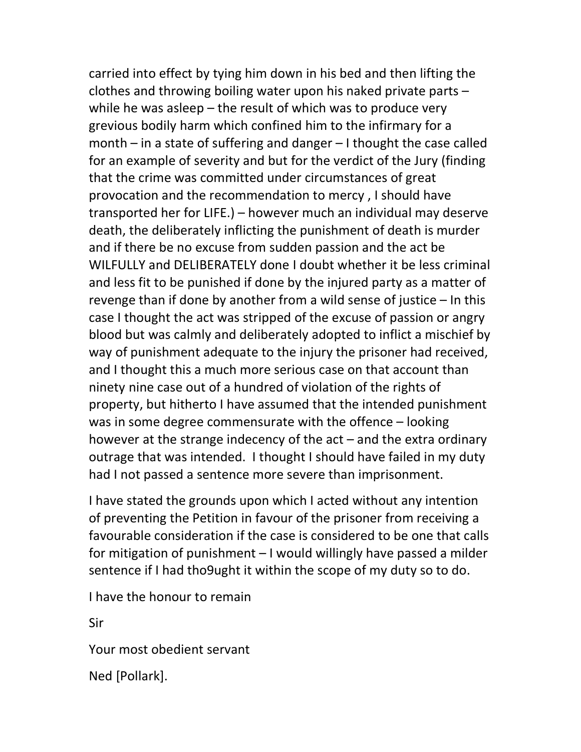carried into effect by tying him down in his bed and then lifting the clothes and throwing boiling water upon his naked private parts – while he was asleep – the result of which was to produce very grevious bodily harm which confined him to the infirmary for a month – in a state of suffering and danger – I thought the case called for an example of severity and but for the verdict of the Jury (finding that the crime was committed under circumstances of great provocation and the recommendation to mercy , I should have transported her for LIFE.) – however much an individual may deserve death, the deliberately inflicting the punishment of death is murder and if there be no excuse from sudden passion and the act be WILFULLY and DELIBERATELY done I doubt whether it be less criminal and less fit to be punished if done by the injured party as a matter of revenge than if done by another from a wild sense of justice – In this case I thought the act was stripped of the excuse of passion or angry blood but was calmly and deliberately adopted to inflict a mischief by way of punishment adequate to the injury the prisoner had received, and I thought this a much more serious case on that account than ninety nine case out of a hundred of violation of the rights of property, but hitherto I have assumed that the intended punishment was in some degree commensurate with the offence – looking however at the strange indecency of the act – and the extra ordinary outrage that was intended. I thought I should have failed in my duty had I not passed a sentence more severe than imprisonment.

I have stated the grounds upon which I acted without any intention of preventing the Petition in favour of the prisoner from receiving a favourable consideration if the case is considered to be one that calls for mitigation of punishment – I would willingly have passed a milder sentence if I had tho9ught it within the scope of my duty so to do.

I have the honour to remain

Sir

Your most obedient servant

Ned [Pollark].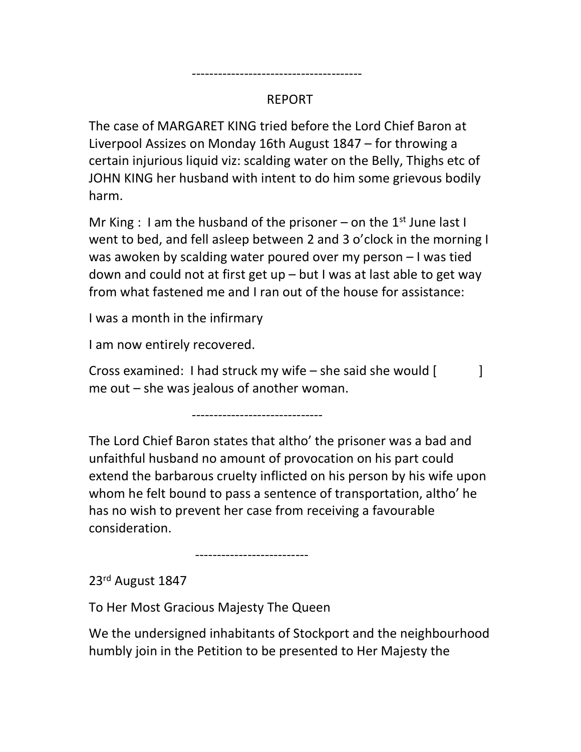---------------------------------------

The case of MARGARET KING tried before the Lord Chief Baron at Liverpool Assizes on Monday 16th August 1847 – for throwing a certain injurious liquid viz: scalding water on the Belly, Thighs etc of JOHN KING her husband with intent to do him some grievous bodily harm.

Mr King : I am the husband of the prisoner – on the 1<sup>st</sup> June last I went to bed, and fell asleep between 2 and 3 o'clock in the morning I was awoken by scalding water poured over my person – I was tied down and could not at first get up – but I was at last able to get way from what fastened me and I ran out of the house for assistance:

I was a month in the infirmary

I am now entirely recovered.

Cross examined: I had struck my wife – she said she would  $\begin{bmatrix} 1 & 1 \\ 1 & 1 \end{bmatrix}$ me out – she was jealous of another woman.

------------------------------

The Lord Chief Baron states that altho' the prisoner was a bad and unfaithful husband no amount of provocation on his part could extend the barbarous cruelty inflicted on his person by his wife upon whom he felt bound to pass a sentence of transportation, altho' he has no wish to prevent her case from receiving a favourable consideration.

--------------------------

23rd August 1847

To Her Most Gracious Majesty The Queen

We the undersigned inhabitants of Stockport and the neighbourhood humbly join in the Petition to be presented to Her Majesty the